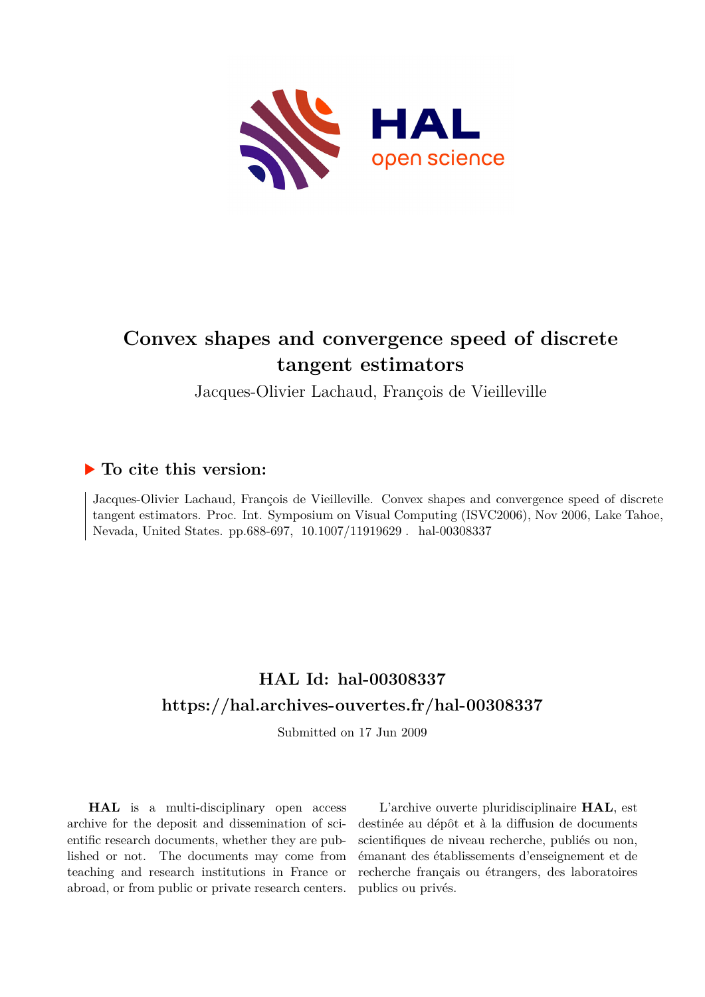

# **Convex shapes and convergence speed of discrete tangent estimators**

Jacques-Olivier Lachaud, François de Vieilleville

## **To cite this version:**

Jacques-Olivier Lachaud, François de Vieilleville. Convex shapes and convergence speed of discrete tangent estimators. Proc. Int. Symposium on Visual Computing (ISVC2006), Nov 2006, Lake Tahoe, Nevada, United States. pp.688-697, 10.1007/11919629 . hal-00308337

## **HAL Id: hal-00308337 <https://hal.archives-ouvertes.fr/hal-00308337>**

Submitted on 17 Jun 2009

**HAL** is a multi-disciplinary open access archive for the deposit and dissemination of scientific research documents, whether they are published or not. The documents may come from teaching and research institutions in France or abroad, or from public or private research centers.

L'archive ouverte pluridisciplinaire **HAL**, est destinée au dépôt et à la diffusion de documents scientifiques de niveau recherche, publiés ou non, émanant des établissements d'enseignement et de recherche français ou étrangers, des laboratoires publics ou privés.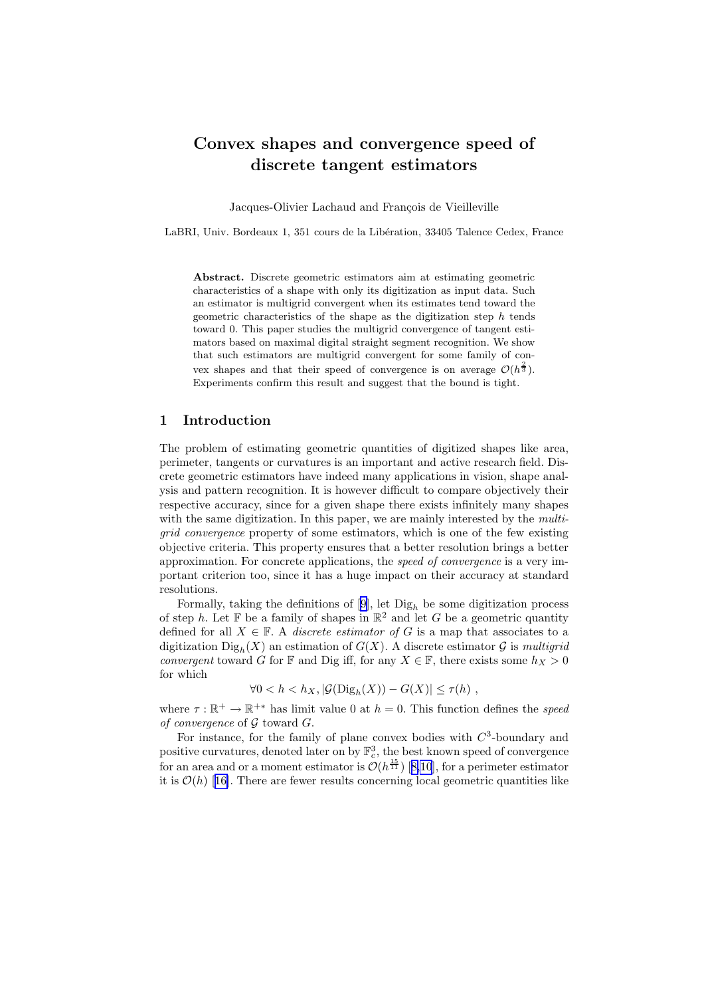### Convex shapes and convergence speed of discrete tangent estimators

Jacques-Olivier Lachaud and François de Vieilleville

LaBRI, Univ. Bordeaux 1, 351 cours de la Libération, 33405 Talence Cedex, France

Abstract. Discrete geometric estimators aim at estimating geometric characteristics of a shape with only its digitization as input data. Such an estimator is multigrid convergent when its estimates tend toward the geometric characteristics of the shape as the digitization step  $h$  tends toward 0. This paper studies the multigrid convergence of tangent estimators based on maximal digital straight segment recognition. We show that such estimators are multigrid convergent for some family of convex shapes and that their speed of convergence is on average  $\mathcal{O}(h^{\frac{2}{3}})$ . Experiments confirm this result and suggest that the bound is tight.

#### 1 Introduction

The problem of estimating geometric quantities of digitized shapes like area, perimeter, tangents or curvatures is an important and active research field. Discrete geometric estimators have indeed many applications in vision, shape analysis and pattern recognition. It is however difficult to compare objectively their respective accuracy, since for a given shape there exists infinitely many shapes with the same digitization. In this paper, we are mainly interested by the *multigrid convergence* property of some estimators, which is one of the few existing objective criteria. This property ensures that a better resolution brings a better approximation. For concrete applications, the *speed of convergence* is a very important criterion too, since it has a huge impact on their accuracy at standard resolutions.

Formally,taking the definitions of  $[9]$  $[9]$ , let  $\text{Di}g_h$  be some digitization process of step h. Let  $\mathbb F$  be a family of shapes in  $\mathbb R^2$  and let G be a geometric quantity defined for all  $X \in \mathbb{F}$ . A *discrete estimator of* G is a map that associates to a digitization  $\text{Di}g_h(X)$  an estimation of  $G(X)$ . A discrete estimator G is *multigrid convergent* toward G for F and Dig iff, for any  $X \in \mathbb{F}$ , there exists some  $h_X > 0$ for which

$$
\forall 0 < h < h_X, \left| \mathcal{G}(\text{Dig}_h(X)) - G(X) \right| \le \tau(h) \;,
$$

where  $\tau : \mathbb{R}^+ \to \mathbb{R}^{+*}$  has limit value 0 at  $h = 0$ . This function defines the *speed of convergence* of G toward G.

For instance, for the family of plane convex bodies with  $C<sup>3</sup>$ -boundary and positive curvatures, denoted later on by  $\mathbb{F}_c^3$ , the best known speed of convergence foran area and or a moment estimator is  $\mathcal{O}(h^{\frac{15}{11}})$  [[8,10](#page-10-0)], for a perimeter estimator itis  $\mathcal{O}(h)$  [[16\]](#page-10-0). There are fewer results concerning local geometric quantities like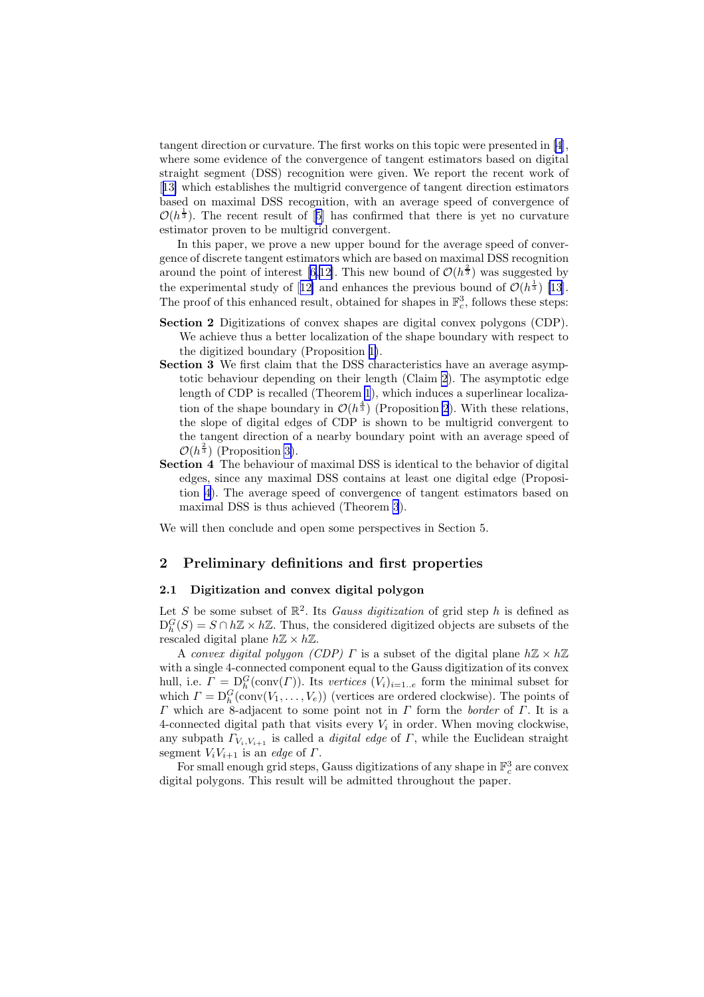tangent direction or curvature. The first works on this topic were presented in [\[4](#page-10-0)], where some evidence of the convergence of tangent estimators based on digital straight segment (DSS) recognition were given. We report the recent work of [[13\]](#page-10-0) which establishes the multigrid convergence of tangent direction estimators based on maximal DSS recognition, with an average speed of convergence of  $\mathcal{O}(h^{\frac{1}{3}})$ . The recent result of [\[5](#page-10-0)] has confirmed that there is yet no curvature estimator proven to be multigrid convergent.

In this paper, we prove a new upper bound for the average speed of convergence of discrete tangent estimators which are based on maximal DSS recognition around the point of interest [\[6](#page-10-0),[12\]](#page-10-0). This new bound of  $\mathcal{O}(h^{\frac{2}{3}})$  was suggested by theexperimental study of [[12\]](#page-10-0) and enhances the previous bound of  $\mathcal{O}(h^{\frac{1}{3}})$  [\[13](#page-10-0)]. The proof of this enhanced result, obtained for shapes in  $\mathbb{F}_c^3$ , follows these steps:

- Section 2 Digitizations of convex shapes are digital convex polygons (CDP). We achieve thus a better localization of the shape boundary with respect to the digitized boundary (Proposition [1\)](#page-5-0).
- Section 3 We first claim that the DSS characteristics have an average asymptotic behaviour depending on their length (Claim [2](#page-5-0)). The asymptotic edge length of CDP is recalled (Theorem [1](#page-5-0)), which induces a superlinear localization of the shape boundary in  $\mathcal{O}(h^{\frac{4}{3}})$  (Proposition [2](#page-6-0)). With these relations, the slope of digital edges of CDP is shown to be multigrid convergent to the tangent direction of a nearby boundary point with an average speed of  $\mathcal{O}(h^{\frac{2}{3}})$  (Proposition [3\)](#page-6-0).
- Section 4 The behaviour of maximal DSS is identical to the behavior of digital edges, since any maximal DSS contains at least one digital edge (Proposition [4](#page-8-0)). The average speed of convergence of tangent estimators based on maximal DSS is thus achieved (Theorem [3](#page-8-0)).

We will then conclude and open some perspectives in Section 5.

#### 2 Preliminary definitions and first properties

#### 2.1 Digitization and convex digital polygon

Let S be some subset of  $\mathbb{R}^2$ . Its *Gauss digitization* of grid step h is defined as  $D_h^G(S) = S \cap h\mathbb{Z} \times h\mathbb{Z}$ . Thus, the considered digitized objects are subsets of the rescaled digital plane  $h\mathbb{Z} \times h\mathbb{Z}$ .

A *convex digital polygon (CDP)*  $\Gamma$  is a subset of the digital plane  $h\mathbb{Z}\times h\mathbb{Z}$ with a single 4-connected component equal to the Gauss digitization of its convex hull, i.e.  $\Gamma = \mathcal{D}_{h}^{G}(\text{conv}(\Gamma)).$  Its *vertices*  $(V_{i})_{i=1..e}$  form the minimal subset for which  $\Gamma = D_h^G(\text{conv}(V_1, \ldots, V_e))$  (vertices are ordered clockwise). The points of Γ which are 8-adjacent to some point not in Γ form the *border* of Γ. It is a 4-connected digital path that visits every  $V_i$  in order. When moving clockwise, any subpath  $\Gamma_{V_i,V_{i+1}}$  is called a *digital edge* of  $\Gamma$ , while the Euclidean straight segment  $V_iV_{i+1}$  is an *edge* of  $\Gamma$ .

For small enough grid steps, Gauss digitizations of any shape in  $\mathbb{F}_c^3$  are convex digital polygons. This result will be admitted throughout the paper.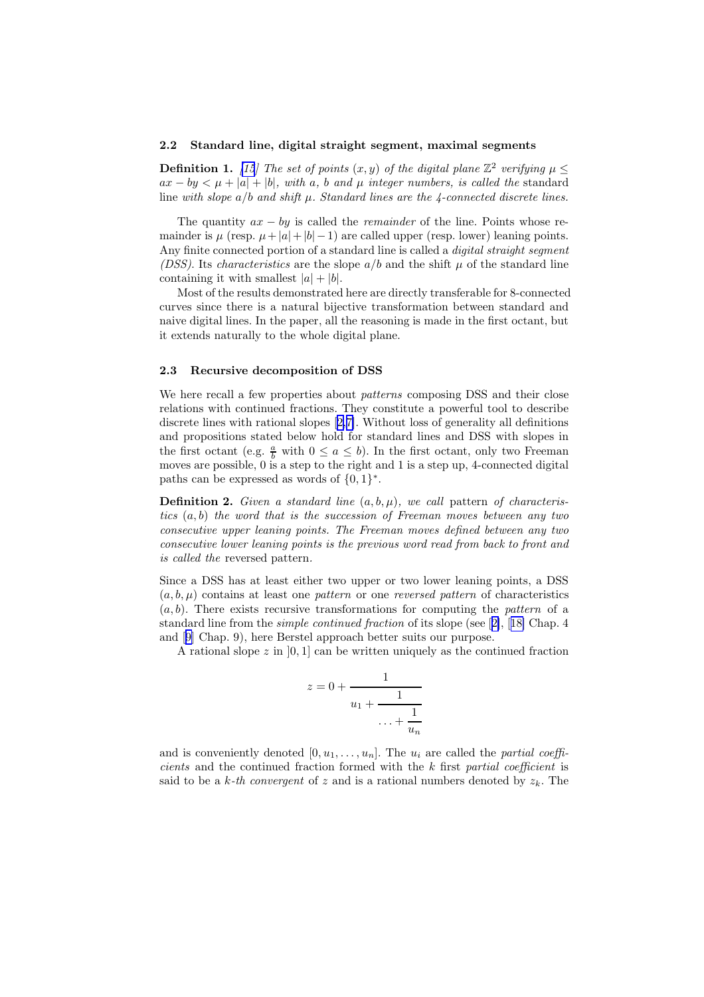#### 2.2 Standard line, digital straight segment, maximal segments

**Definition 1.** [\[15](#page-10-0)] The set of points  $(x, y)$  of the digital plane  $\mathbb{Z}^2$  verifying  $\mu \leq$  $ax - by \lt \mu + |a| + |b|$ *, with* a*,* b and  $\mu$  integer numbers, is called the standard line *with slope* a/b *and shift* µ*. Standard lines are the 4-connected discrete lines.*

The quantity ax − by is called the *remainder* of the line. Points whose remainder is  $\mu$  (resp.  $\mu + |a| + |b| - 1$ ) are called upper (resp. lower) leaning points. Any finite connected portion of a standard line is called a *digital straight segment (DSS)*. Its *characteristics* are the slope  $a/b$  and the shift  $\mu$  of the standard line containing it with smallest  $|a| + |b|$ .

Most of the results demonstrated here are directly transferable for 8-connected curves since there is a natural bijective transformation between standard and naive digital lines. In the paper, all the reasoning is made in the first octant, but it extends naturally to the whole digital plane.

#### 2.3 Recursive decomposition of DSS

We here recall a few properties about *patterns* composing DSS and their close relations with continued fractions. They constitute a powerful tool to describe discrete lines with rational slopes [\[2,7\]](#page-10-0). Without loss of generality all definitions and propositions stated below hold for standard lines and DSS with slopes in the first octant (e.g.  $\frac{a}{b}$  with  $0 \le a \le b$ ). In the first octant, only two Freeman moves are possible, 0 is a step to the right and 1 is a step up, 4-connected digital paths can be expressed as words of  $\{0, 1\}^*$ .

**Definition 2.** *Given a standard line*  $(a, b, \mu)$ *, we call pattern of characteristics* (a, b) *the word that is the succession of Freeman moves between any two consecutive upper leaning points. The Freeman moves defined between any two consecutive lower leaning points is the previous word read from back to front and is called the* reversed pattern*.*

Since a DSS has at least either two upper or two lower leaning points, a DSS  $(a, b, \mu)$  contains at least one *pattern* or one *reversed pattern* of characteristics (a, b). There exists recursive transformations for computing the *pattern* of a standard line from the *simple continued fraction* of its slope (see[[2\]](#page-10-0),[[18\]](#page-10-0) Chap. 4 and[[9\]](#page-10-0) Chap. 9), here Berstel approach better suits our purpose.

A rational slope z in  $[0, 1]$  can be written uniquely as the continued fraction

$$
z = 0 + \cfrac{1}{u_1 + \cfrac{1}{\cdots + \cfrac{1}{u_n}}}
$$

and is conveniently denoted  $[0, u_1, \ldots, u_n]$ . The  $u_i$  are called the *partial coefficients* and the continued fraction formed with the k first *partial coefficient* is said to be a  $k$ -th convergent of z and is a rational numbers denoted by  $z_k$ . The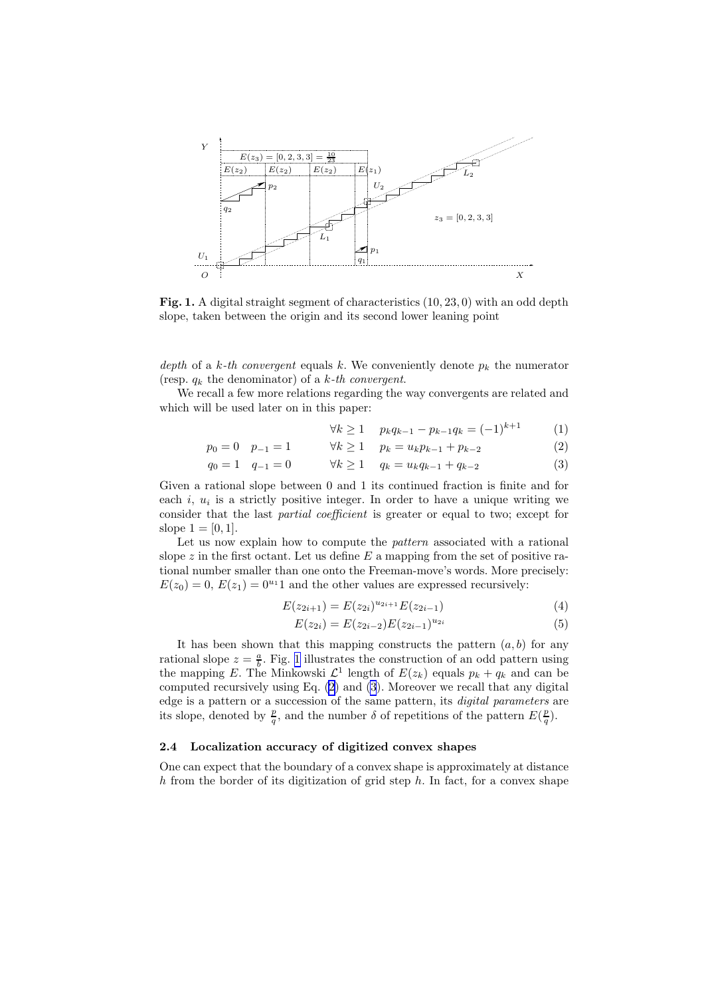<span id="page-4-0"></span>

Fig. 1. A digital straight segment of characteristics (10, 23, 0) with an odd depth slope, taken between the origin and its second lower leaning point

*depth* of a k-th convergent equals k. We conveniently denote  $p_k$  the numerator (resp. q<sup>k</sup> the denominator) of a k*-th convergent*.

We recall a few more relations regarding the way convergents are related and which will be used later on in this paper:

$$
\forall k \ge 1 \quad p_k q_{k-1} - p_{k-1} q_k = (-1)^{k+1} \tag{1}
$$

$$
p_0 = 0 \quad p_{-1} = 1 \qquad \forall k \ge 1 \quad p_k = u_k p_{k-1} + p_{k-2} \tag{2}
$$

$$
q_0 = 1 \quad q_{-1} = 0 \qquad \forall k \ge 1 \quad q_k = u_k q_{k-1} + q_{k-2} \tag{3}
$$

Given a rational slope between 0 and 1 its continued fraction is finite and for each  $i, u_i$  is a strictly positive integer. In order to have a unique writing we consider that the last *partial coefficient* is greater or equal to two; except for slope  $1 = [0, 1]$ .

Let us now explain how to compute the *pattern* associated with a rational slope z in the first octant. Let us define  $E$  a mapping from the set of positive rational number smaller than one onto the Freeman-move's words. More precisely:  $E(z_0) = 0$ ,  $E(z_1) = 0<sup>u<sub>1</sub></sup>1$  and the other values are expressed recursively:

$$
E(z_{2i+1}) = E(z_{2i})^{u_{2i+1}} E(z_{2i-1})
$$
\n(4)

$$
E(z_{2i}) = E(z_{2i-2})E(z_{2i-1})^{u_{2i}} \tag{5}
$$

It has been shown that this mapping constructs the pattern  $(a, b)$  for any rational slope  $z = \frac{a}{b}$ . Fig. 1 illustrates the construction of an odd pattern using the mapping E. The Minkowski  $\mathcal{L}^1$  length of  $E(z_k)$  equals  $p_k + q_k$  and can be computed recursively using Eq. (2) and (3). Moreover we recall that any digital edge is a pattern or a succession of the same pattern, its *digital parameters* are its slope, denoted by  $\frac{p}{q}$ , and the number  $\delta$  of repetitions of the pattern  $E(\frac{p}{q})$ .

#### 2.4 Localization accuracy of digitized convex shapes

One can expect that the boundary of a convex shape is approximately at distance h from the border of its digitization of grid step  $h$ . In fact, for a convex shape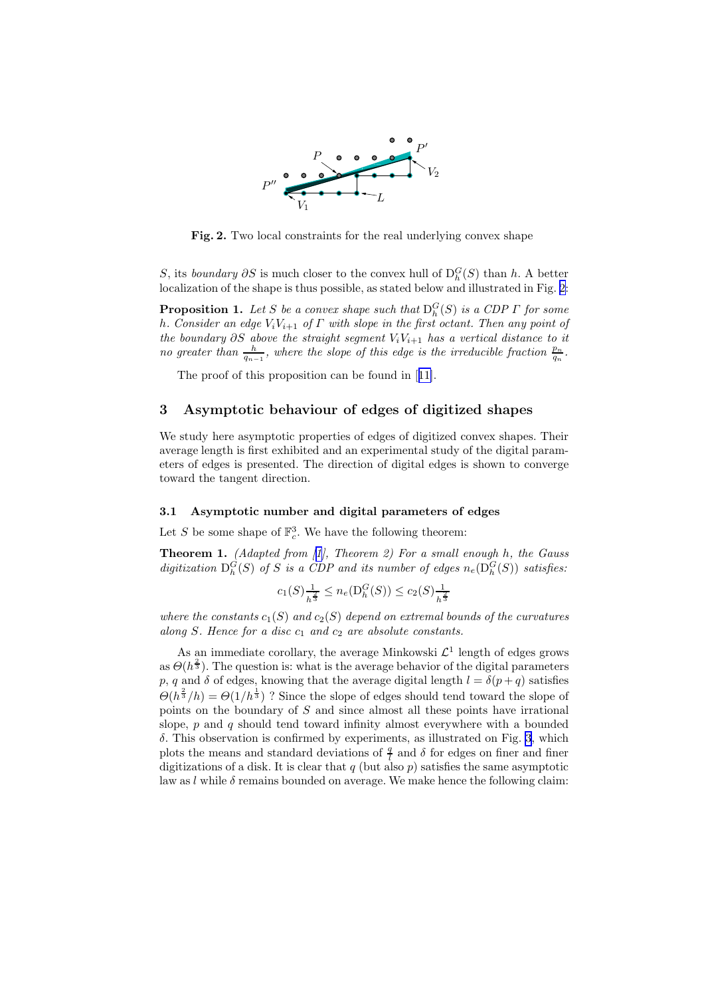<span id="page-5-0"></span>

Fig. 2. Two local constraints for the real underlying convex shape

S, its *boundary*  $\partial S$  is much closer to the convex hull of  $D_h^G(S)$  than h. A better localization of the shape is thus possible, as stated below and illustrated in Fig. 2:

**Proposition 1.** Let S be a convex shape such that  $D_h^G(S)$  is a CDP  $\Gamma$  for some h*. Consider an edge* ViV<sup>i</sup>+1 *of* Γ *with slope in the first octant. Then any point of the boundary*  $\partial S$  *above the straight segment*  $V_iV_{i+1}$  *has a vertical distance to it no greater than*  $\frac{h}{q_{n-1}}$ , where the slope of this edge is the irreducible fraction  $\frac{p_n}{q_n}$ .

Theproof of this proposition can be found in [[11\]](#page-10-0).

#### 3 Asymptotic behaviour of edges of digitized shapes

We study here asymptotic properties of edges of digitized convex shapes. Their average length is first exhibited and an experimental study of the digital parameters of edges is presented. The direction of digital edges is shown to converge toward the tangent direction.

#### 3.1 Asymptotic number and digital parameters of edges

Let S be some shape of  $\mathbb{F}_c^3$ . We have the following theorem:

Theorem 1. *(Adapted from[[1\]](#page-10-0), Theorem 2) For a small enough* h*, the Gauss* digitization  $D_h^G(S)$  of S is a CDP and its number of edges  $n_e(D_h^G(S))$  satisfies:

$$
c_1(S)\tfrac{1}{h^{\frac{2}{3}}}\leq n_e(\mathrm{D}_h^G(S))\leq c_2(S)\tfrac{1}{h^{\frac{2}{3}}}
$$

*where the constants*  $c_1(S)$  *and*  $c_2(S)$  *depend on extremal bounds of the curvatures along* S. Hence for a disc  $c_1$  and  $c_2$  are absolute constants.

As an immediate corollary, the average Minkowski  $\mathcal{L}^1$  length of edges grows as  $\Theta(h^{\frac{2}{3}})$ . The question is: what is the average behavior of the digital parameters p, q and  $\delta$  of edges, knowing that the average digital length  $l = \delta(p+q)$  satisfies  $\Theta(h^{\frac{2}{3}}/h) = \Theta(1/h^{\frac{1}{3}})$ ? Since the slope of edges should tend toward the slope of points on the boundary of  $S$  and since almost all these points have irrational slope,  $p$  and  $q$  should tend toward infinity almost everywhere with a bounded  $\delta$ . This observation is confirmed by experiments, as illustrated on Fig. [3](#page-6-0), which plots the means and standard deviations of  $\frac{q}{l}$  and  $\delta$  for edges on finer and finer digitizations of a disk. It is clear that q (but also  $p$ ) satisfies the same asymptotic law as l while  $\delta$  remains bounded on average. We make hence the following claim: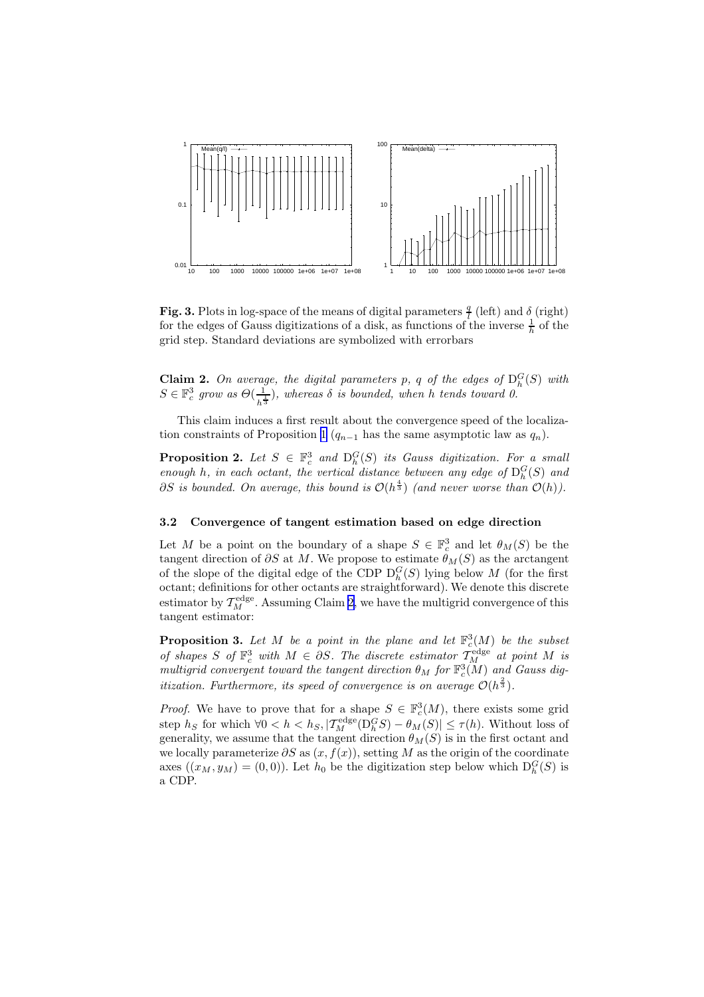<span id="page-6-0"></span>

Fig. 3. Plots in log-space of the means of digital parameters  $\frac{q}{l}$  (left) and  $\delta$  (right) for the edges of Gauss digitizations of a disk, as functions of the inverse  $\frac{1}{h}$  of the grid step. Standard deviations are symbolized with errorbars

Claim 2. On average, the digital parameters p, q of the edges of  $D_h^G(S)$  with  $S \in \mathbb{F}_c^3$  grow as  $\Theta(\frac{1}{\sqrt{2}})$  $\frac{1}{h^{\frac{1}{3}}}$ , whereas  $\delta$  *is bounded, when* h *tends toward 0.* 

This claim induces a first result about the convergence speed of the localiza-tion constraints of Proposition [1](#page-5-0) ( $q_{n-1}$  has the same asymptotic law as  $q_n$ ).

**Proposition 2.** Let  $S \in \mathbb{F}_c^3$  and  $D_h^G(S)$  its Gauss digitization. For a small *enough* h, in each octant, the vertical distance between any edge of  $D_h^G(S)$  and  $\partial S$  is bounded. On average, this bound is  $\mathcal{O}(h^{\frac{4}{3}})$  (and never worse than  $\mathcal{O}(h)$ ).

#### 3.2 Convergence of tangent estimation based on edge direction

Let M be a point on the boundary of a shape  $S \in \mathbb{F}_c^3$  and let  $\theta_M(S)$  be the tangent direction of  $\partial S$  at M. We propose to estimate  $\theta_M(S)$  as the arctangent of the slope of the digital edge of the CDP  $D_h^G(S)$  lying below M (for the first octant; definitions for other octants are straightforward). We denote this discrete estimator by  $T_M^{\text{edge}}$ . Assuming Claim [2](#page-5-0), we have the multigrid convergence of this tangent estimator:

**Proposition 3.** Let M be a point in the plane and let  $\mathbb{F}_c^3(M)$  be the subset of shapes S of  $\mathbb{F}_c^3$  with  $M \in \partial S$ . The discrete estimator  $\mathcal{T}_M^{\text{edge}}$  at point M is  $multiprid$  *convergent toward the tangent direction*  $\theta_M$  *for*  $\mathbb{F}_c^3(\widetilde{M})$  *and Gauss digitization.* Furthermore, its speed of convergence is on average  $\mathcal{O}(h^{\frac{2}{3}})$ .

*Proof.* We have to prove that for a shape  $S \in \mathbb{F}_c^3(M)$ , there exists some grid step  $h_S$  for which  $\forall 0 < h < h_S, |\mathcal{T}_M^{\text{edge}}(\mathcal{D}_h^G S) - \theta_M(S)| \le \tau(h)$ . Without loss of generality, we assume that the tangent direction  $\theta_M(S)$  is in the first octant and we locally parameterize  $\partial S$  as  $(x, f(x))$ , setting M as the origin of the coordinate axes  $((x_M, y_M) = (0, 0))$ . Let  $h_0$  be the digitization step below which  $D_h^G(S)$  is a CDP.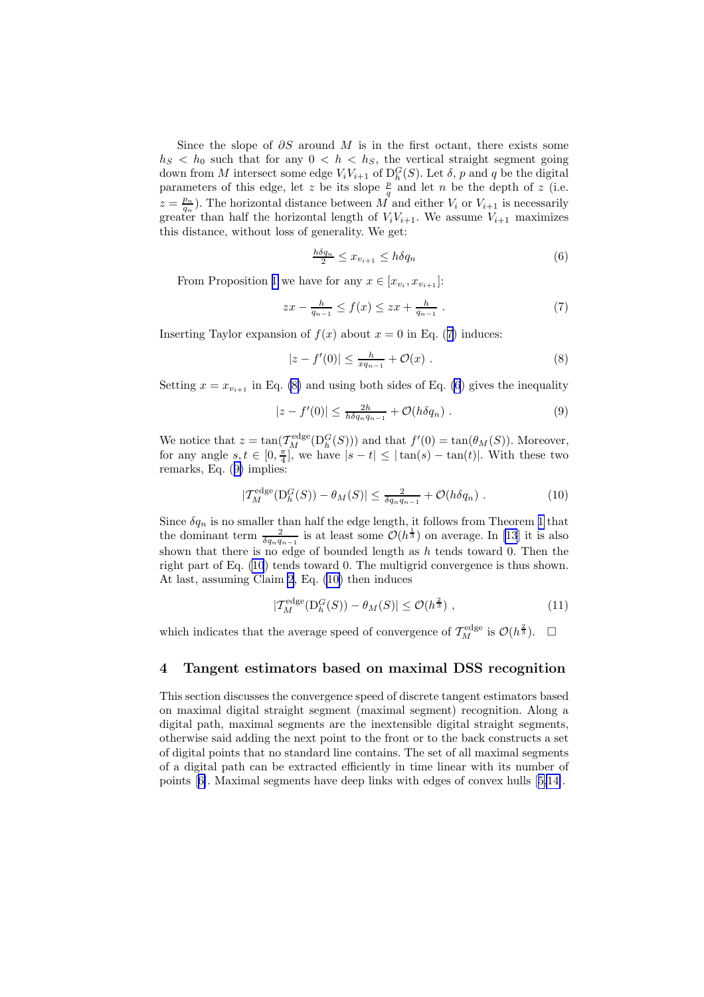Since the slope of  $\partial S$  around M is in the first octant, there exists some  $h_S < h_0$  such that for any  $0 < h < h_S$ , the vertical straight segment going down from M intersect some edge  $V_iV_{i+1}$  of  $D_h^G(S)$ . Let  $\delta$ , p and q be the digital hown non *M* intersect some edge  $v_i v_{i+1}$  or  $D_h(\mathcal{S})$ . Let  $\delta$ ,  $p$  and  $q$  be the digital parameters of this edge, let z be its slope  $\frac{p}{q}$  and let *n* be the depth of z (i.e.  $z = \frac{p_n}{q_n}$ . The horizontal distance between M and either  $V_i$  or  $V_{i+1}$  is necessarily greater than half the horizontal length of  $V_iV_{i+1}$ . We assume  $V_{i+1}$  maximizes this distance, without loss of generality. We get:

$$
\frac{h\delta q_n}{2} \le x_{v_{i+1}} \le h\delta q_n \tag{6}
$$

From Proposition [1](#page-5-0) we have for any  $x \in [x_{v_i}, x_{v_{i+1}}]$ :

$$
zx - \frac{h}{q_{n-1}} \le f(x) \le zx + \frac{h}{q_{n-1}} \tag{7}
$$

Inserting Taylor expansion of  $f(x)$  about  $x = 0$  in Eq. (7) induces:

$$
|z - f'(0)| \le \frac{h}{xq_{n-1}} + \mathcal{O}(x) . \tag{8}
$$

Setting  $x = x_{v_{i+1}}$  in Eq. (8) and using both sides of Eq. (6) gives the inequality

$$
|z - f'(0)| \le \frac{2h}{h\delta q_n q_{n-1}} + \mathcal{O}(h\delta q_n) \tag{9}
$$

We notice that  $z = \tan(\mathcal{T}_{M}^{\text{edge}}(D_{h}^{G}(S)))$  and that  $f'(0) = \tan(\theta_{M}(S))$ . Moreover, for any angle  $s, t \in [0, \frac{\pi}{4}]$ , we have  $|s - t| \leq |\tan(s) - \tan(t)|$ . With these two remarks, Eq. (9) implies:

$$
|T_M^{\text{edge}}(\mathcal{D}_h^G(S)) - \theta_M(S)| \le \frac{2}{\delta q_n q_{n-1}} + \mathcal{O}(h\delta q_n) \tag{10}
$$

Since  $\delta q_n$  is no smaller than half the edge length, it follows from Theorem [1](#page-5-0) that the dominant term  $\frac{2}{\delta q_n q_{n-1}}$  is at least some  $\mathcal{O}(h^{\frac{1}{3}})$  on average. In [\[13](#page-10-0)] it is also shown that there is no edge of bounded length as  $h$  tends toward 0. Then the right part of Eq. (10) tends toward 0. The multigrid convergence is thus shown. At last, assuming Claim [2](#page-5-0), Eq. (10) then induces

$$
|T_M^{\text{edge}}(\mathcal{D}_h^G(S)) - \theta_M(S)| \le \mathcal{O}(h^{\frac{2}{3}}) \tag{11}
$$

which indicates that the average speed of convergence of  $\mathcal{T}_{M}^{\text{edge}}$  is  $\mathcal{O}(h^{\frac{2}{3}})$ .  $\square$ 

### 4 Tangent estimators based on maximal DSS recognition

This section discusses the convergence speed of discrete tangent estimators based on maximal digital straight segment (maximal segment) recognition. Along a digital path, maximal segments are the inextensible digital straight segments, otherwise said adding the next point to the front or to the back constructs a set of digital points that no standard line contains. The set of all maximal segments of a digital path can be extracted efficiently in time linear with its number of points[[6\]](#page-10-0). Maximal segments have deep links with edges of convex hulls[[5,14\]](#page-10-0).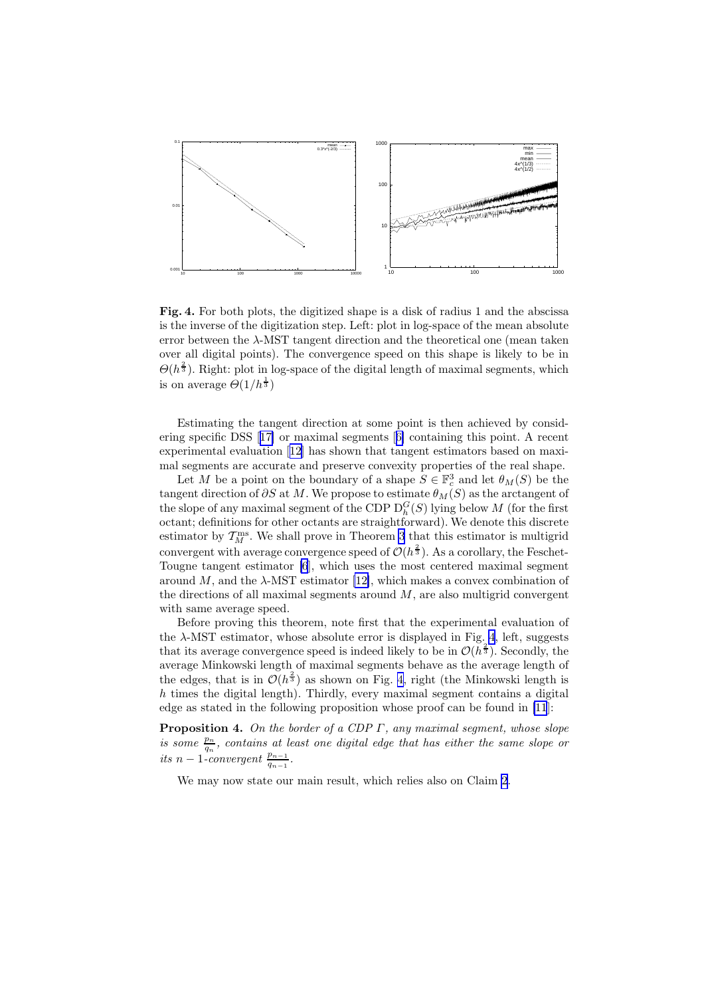<span id="page-8-0"></span>

Fig. 4. For both plots, the digitized shape is a disk of radius 1 and the abscissa is the inverse of the digitization step. Left: plot in log-space of the mean absolute error between the λ-MST tangent direction and the theoretical one (mean taken over all digital points). The convergence speed on this shape is likely to be in  $\Theta(h^{\frac{2}{3}})$ . Right: plot in log-space of the digital length of maximal segments, which is on average  $\Theta(1/h^{\frac{1}{3}})$ 

Estimating the tangent direction at some point is then achieved by considering specific DSS[[17\]](#page-10-0) or maximal segments[[6\]](#page-10-0) containing this point. A recent experimental evaluation[[12\]](#page-10-0) has shown that tangent estimators based on maximal segments are accurate and preserve convexity properties of the real shape.

Let M be a point on the boundary of a shape  $S \in \mathbb{F}_c^3$  and let  $\theta_M(S)$  be the tangent direction of  $\partial S$  at M. We propose to estimate  $\theta_M(S)$  as the arctangent of the slope of any maximal segment of the CDP  $D_h^G(S)$  lying below M (for the first octant; definitions for other octants are straightforward). We denote this discrete estimator by  $T_M^{\text{ms}}$ . We shall prove in Theorem 3 that this estimator is multigrid convergent with average convergence speed of  $\mathcal{O}(h^{\frac{2}{3}})$ . As a corollary, the Feschet-Tougne tangent estimator [\[6](#page-10-0)], which uses the most centered maximal segment around M, and the  $\lambda$ -MST estimator [\[12\]](#page-10-0), which makes a convex combination of the directions of all maximal segments around  $M$ , are also multigrid convergent with same average speed.

Before proving this theorem, note first that the experimental evaluation of the  $\lambda$ -MST estimator, whose absolute error is displayed in Fig. 4, left, suggests that its average convergence speed is indeed likely to be in  $\mathcal{O}(h^{\frac{2}{3}})$ . Secondly, the average Minkowski length of maximal segments behave as the average length of the edges, that is in  $\mathcal{O}(h^{\frac{2}{3}})$  as shown on Fig. 4, right (the Minkowski length is  $h$  times the digital length). Thirdly, every maximal segment contains a digital edge as stated in the following proposition whose proof can be found in [\[11](#page-10-0)]:

Proposition 4. *On the border of a CDP* Γ*, any maximal segment, whose slope is some*  $\frac{p_n}{q_n}$ , contains at least one digital edge that has either the same slope or *its*  $n-1$ *-convergent*  $\frac{p_{n-1}}{q_{n-1}}$ .

We may now state our main result, which relies also on Claim [2](#page-5-0).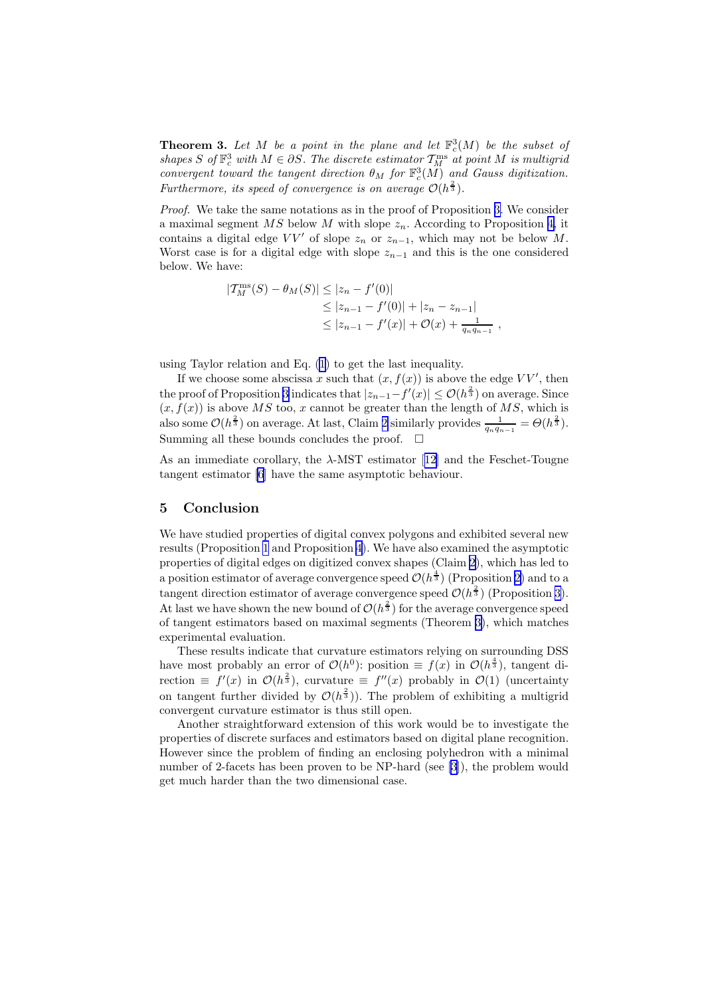**Theorem 3.** Let M be a point in the plane and let  $\mathbb{F}_c^3(M)$  be the subset of shapes S of  $\mathbb{F}_c^3$  with  $M \in \partial S$ . The discrete estimator  $\mathcal{T}_M^{\text{ms}}$  at point M is multigrid *convergent toward the tangent direction*  $\theta_M$  *for*  $\mathbb{F}_c^3(\tilde{M})$  *and Gauss digitization.* Furthermore, its speed of convergence is on average  $\mathcal{O}(h^{\frac{2}{3}})$ .

*Proof.* We take the same notations as in the proof of Proposition [3.](#page-6-0) We consider a maximal segment  $MS$  below M with slope  $z_n$ . According to Proposition [4,](#page-8-0) it contains a digital edge  $VV'$  of slope  $z_n$  or  $z_{n-1}$ , which may not be below M. Worst case is for a digital edge with slope  $z_{n-1}$  and this is the one considered below. We have:

$$
|T_M^{\text{ms}}(S) - \theta_M(S)| \le |z_n - f'(0)|
$$
  
\n
$$
\le |z_{n-1} - f'(0)| + |z_n - z_{n-1}|
$$
  
\n
$$
\le |z_{n-1} - f'(x)| + O(x) + \frac{1}{q_n q_{n-1}},
$$

using Taylor relation and Eq. [\(1](#page-4-0)) to get the last inequality.

If we choose some abscissa x such that  $(x, f(x))$  is above the edge VV', then the proof of Proposition [3](#page-6-0) indicates that  $|z_{n-1}-f'(x)| \leq \mathcal{O}(h^{\frac{2}{3}})$  on average. Since  $(x, f(x))$  is above MS too, x cannot be greater than the length of MS, which is also some  $\mathcal{O}(h^{\frac{2}{3}})$  on average. At last, Claim [2](#page-5-0) similarly provides  $\frac{1}{q_nq_{n-1}} = \Theta(h^{\frac{2}{3}})$ . Summing all these bounds concludes the proof.  $\square$ 

Asan immediate corollary, the  $\lambda$ -MST estimator [[12\]](#page-10-0) and the Feschet-Tougne tangent estimator [\[6](#page-10-0)] have the same asymptotic behaviour.

#### 5 Conclusion

We have studied properties of digital convex polygons and exhibited several new results (Proposition [1](#page-5-0) and Proposition [4](#page-8-0)). We have also examined the asymptotic properties of digital edges on digitized convex shapes (Claim [2\)](#page-5-0), which has led to a position estimator of average convergence speed  $\mathcal{O}(h^{\frac{4}{3}})$  (Proposition [2\)](#page-6-0) and to a tangent direction estimator of average convergence speed  $\mathcal{O}(h^{\frac{2}{3}})$  (Proposition [3](#page-6-0)). At last we have shown the new bound of  $\mathcal{O}(h^{\frac{2}{3}})$  for the average convergence speed of tangent estimators based on maximal segments (Theorem [3\)](#page-8-0), which matches experimental evaluation.

These results indicate that curvature estimators relying on surrounding DSS have most probably an error of  $\mathcal{O}(h^0)$ : position  $\equiv f(x)$  in  $\mathcal{O}(h^{\frac{4}{3}})$ , tangent direction  $\equiv f'(x)$  in  $\mathcal{O}(h^{\frac{2}{3}})$ , curvature  $\equiv f''(x)$  probably in  $\mathcal{O}(1)$  (uncertainty on tangent further divided by  $\mathcal{O}(h^{\frac{2}{3}})$ . The problem of exhibiting a multigrid convergent curvature estimator is thus still open.

Another straightforward extension of this work would be to investigate the properties of discrete surfaces and estimators based on digital plane recognition. However since the problem of finding an enclosing polyhedron with a minimal number of 2-facets has been proven to be NP-hard (see [\[3](#page-10-0)]), the problem would get much harder than the two dimensional case.